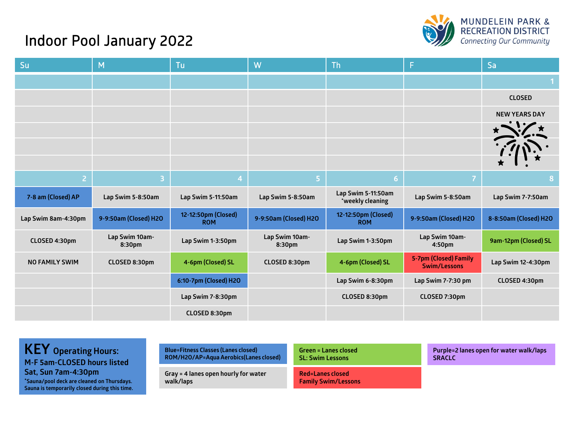## **MUNDELEIN PARK &<br>RECREATION DISTRICT**<br>Connecting Our Community

## Indoor Pool January 2022

| Su                    | M                        | Tu                                | W                        | <b>Th</b>                              | F                                            | Sa                    |
|-----------------------|--------------------------|-----------------------------------|--------------------------|----------------------------------------|----------------------------------------------|-----------------------|
|                       |                          |                                   |                          |                                        |                                              |                       |
|                       |                          |                                   |                          |                                        |                                              | <b>CLOSED</b>         |
|                       |                          |                                   |                          |                                        |                                              | <b>NEW YEARS DAY</b>  |
|                       |                          |                                   |                          |                                        |                                              |                       |
|                       |                          |                                   |                          |                                        |                                              |                       |
|                       |                          |                                   |                          |                                        |                                              |                       |
| 2                     | 3                        | 4                                 | 5.                       | 6 <sup>1</sup>                         | 7                                            | 8                     |
| 7-8 am (Closed) AP    | Lap Swim 5-8:50am        | Lap Swim 5-11:50am                | Lap Swim 5-8:50am        | Lap Swim 5-11:50am<br>*weekly cleaning | Lap Swim 5-8:50am                            | Lap Swim 7-7:50am     |
| Lap Swim 8am-4:30pm   | 9-9:50am (Closed) H2O    | 12-12:50pm (Closed)<br><b>ROM</b> | 9-9:50am (Closed) H2O    | 12-12:50pm (Closed)<br><b>ROM</b>      | 9-9:50am (Closed) H2O                        | 8-8:50am (Closed) H2O |
| CLOSED 4:30pm         | Lap Swim 10am-<br>8:30pm | Lap Swim 1-3:50pm                 | Lap Swim 10am-<br>8:30pm | Lap Swim 1-3:50pm                      | Lap Swim 10am-<br>4:50pm                     | 9am-12pm (Closed) SL  |
| <b>NO FAMILY SWIM</b> | CLOSED 8:30pm            | 4-6pm (Closed) SL                 | CLOSED 8:30pm            | 4-6pm (Closed) SL                      | 5-7pm (Closed) Family<br><b>Swim/Lessons</b> | Lap Swim 12-4:30pm    |
|                       |                          | 6:10-7pm (Closed) H2O             |                          | Lap Swim 6-8:30pm                      | Lap Swim 7-7:30 pm                           | CLOSED 4:30pm         |
|                       |                          | Lap Swim 7-8:30pm                 |                          | CLOSED 8:30pm                          | CLOSED 7:30pm                                |                       |
|                       |                          | CLOSED 8:30pm                     |                          |                                        |                                              |                       |

| <b>KEY</b> Operating Hours:                                                                                        | <b>Blue=Fitness Classes (Lanes closed)</b>        | <b>Green = Lanes closed</b>                           | Purple=2 lanes open for water walk/laps |  |
|--------------------------------------------------------------------------------------------------------------------|---------------------------------------------------|-------------------------------------------------------|-----------------------------------------|--|
| M-F 5am-CLOSED hours listed                                                                                        | ROM/H2O/AP=Aqua Aerobics(Lanes closed)            | <b>SL: Swim Lessons</b>                               | <b>SRACLC</b>                           |  |
| Sat, Sun 7am-4:30pm<br>*Sauna/pool deck are cleaned on Thursdays.<br>Sauna is temporarily closed during this time. | Gray = 4 lanes open hourly for water<br>walk/laps | <b>Red=Lanes closed</b><br><b>Family Swim/Lessons</b> |                                         |  |